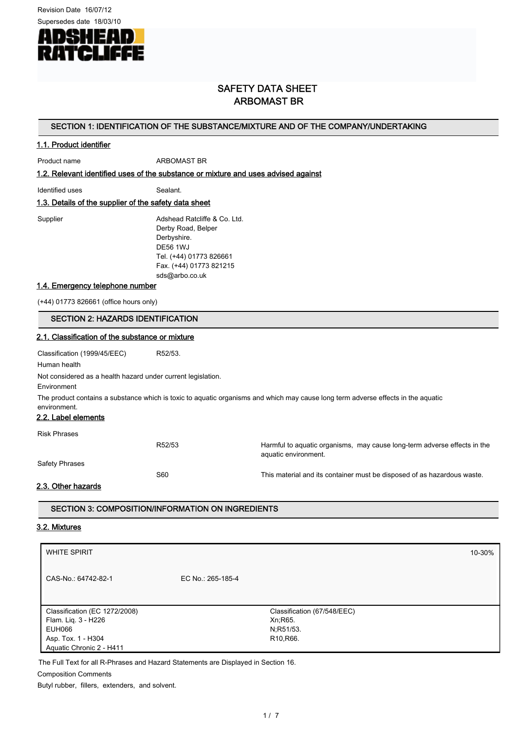Revision Date 16/07/12



# SAFETY DATA SHEET ARBOMAST BR

### SECTION 1: IDENTIFICATION OF THE SUBSTANCE/MIXTURE AND OF THE COMPANY/UNDERTAKING

# 1.1. Product identifier

Product name ARBOMAST BR

1.2. Relevant identified uses of the substance or mixture and uses advised against

Identified uses Sealant.

# 1.3. Details of the supplier of the safety data sheet

Supplier **Adshead Ratcliffe & Co. Ltd.** Derby Road, Belper Derbyshire. DE56 1WJ Tel. (+44) 01773 826661 Fax. (+44) 01773 821215 sds@arbo.co.uk

#### 1.4. Emergency telephone number

(+44) 01773 826661 (office hours only)

### SECTION 2: HAZARDS IDENTIFICATION

#### 2.1. Classification of the substance or mixture

Classification (1999/45/EEC) R52/53. Human health

Not considered as a health hazard under current legislation.

Environment

The product contains a substance which is toxic to aquatic organisms and which may cause long term adverse effects in the aquatic environment.

# 2.2. Label elements

Risk Phrases

R52/53 Harmful to aquatic organisms, may cause long-term adverse effects in the aquatic environment.

S60 S60 This material and its container must be disposed of as hazardous waste.

Safety Phrases

2.3. Other hazards

# SECTION 3: COMPOSITION/INFORMATION ON INGREDIENTS

#### 3.2. Mixtures

| <b>WHITE SPIRIT</b>           |                   |                                     | 10-30% |
|-------------------------------|-------------------|-------------------------------------|--------|
| CAS-No.: 64742-82-1           | EC No.: 265-185-4 |                                     |        |
|                               |                   |                                     |        |
| Classification (EC 1272/2008) |                   | Classification (67/548/EEC)         |        |
| Flam. Lig. 3 - H226           |                   | Xn; R65.                            |        |
| EUH066                        |                   | N;R51/53.                           |        |
| Asp. Tox. 1 - H304            |                   | R <sub>10</sub> , R <sub>66</sub> . |        |
| Aquatic Chronic 2 - H411      |                   |                                     |        |

The Full Text for all R-Phrases and Hazard Statements are Displayed in Section 16.

Composition Comments

Butyl rubber, fillers, extenders, and solvent.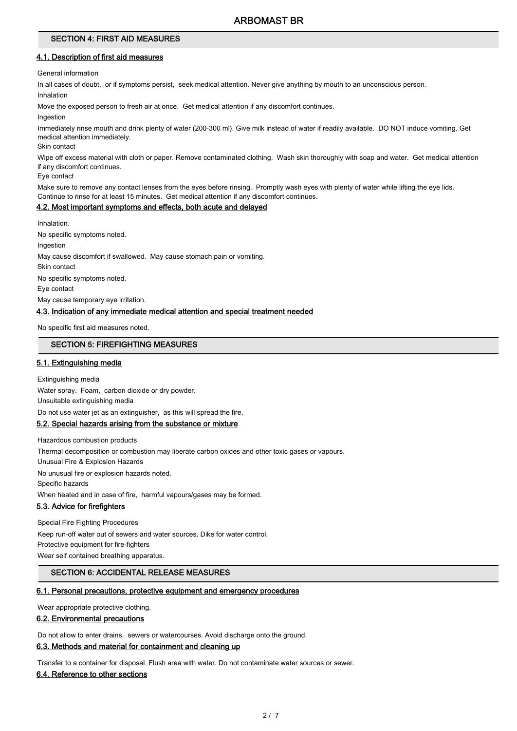#### SECTION 4: FIRST AID MEASURES

#### 4.1. Description of first aid measures

General information

In all cases of doubt, or if symptoms persist, seek medical attention. Never give anything by mouth to an unconscious person.

Inhalation

Move the exposed person to fresh air at once. Get medical attention if any discomfort continues.

**Ingestion** 

Immediately rinse mouth and drink plenty of water (200-300 ml). Give milk instead of water if readily available. DO NOT induce vomiting. Get medical attention immediately.

Skin contact

Wipe off excess material with cloth or paper. Remove contaminated clothing. Wash skin thoroughly with soap and water. Get medical attention if any discomfort continues.

Eye contact

Make sure to remove any contact lenses from the eyes before rinsing. Promptly wash eyes with plenty of water while lifting the eye lids. Continue to rinse for at least 15 minutes. Get medical attention if any discomfort continues.

# 4.2. Most important symptoms and effects, both acute and delayed

Inhalation. No specific symptoms noted. Ingestion May cause discomfort if swallowed. May cause stomach pain or vomiting. Skin contact No specific symptoms noted. Eye contact May cause temporary eye irritation.

# 4.3. Indication of any immediate medical attention and special treatment needed

No specific first aid measures noted.

# SECTION 5: FIREFIGHTING MEASURES

### 5.1. Extinguishing media

Extinguishing media Water spray. Foam, carbon dioxide or dry powder. Unsuitable extinguishing media Do not use water jet as an extinguisher, as this will spread the fire. 5.2. Special hazards arising from the substance or mixture

Hazardous combustion products Thermal decomposition or combustion may liberate carbon oxides and other toxic gases or vapours. Unusual Fire & Explosion Hazards No unusual fire or explosion hazards noted. Specific hazards When heated and in case of fire, harmful vapours/gases may be formed. 5.3. Advice for firefighters

Special Fire Fighting Procedures Keep run-off water out of sewers and water sources. Dike for water control. Protective equipment for fire-fighters Wear self contained breathing apparatus.

# SECTION 6: ACCIDENTAL RELEASE MEASURES

#### 6.1. Personal precautions, protective equipment and emergency procedures

Wear appropriate protective clothing.

# 6.2. Environmental precautions

Do not allow to enter drains, sewers or watercourses. Avoid discharge onto the ground.

# 6.3. Methods and material for containment and cleaning up

Transfer to a container for disposal. Flush area with water. Do not contaminate water sources or sewer.

#### 6.4. Reference to other sections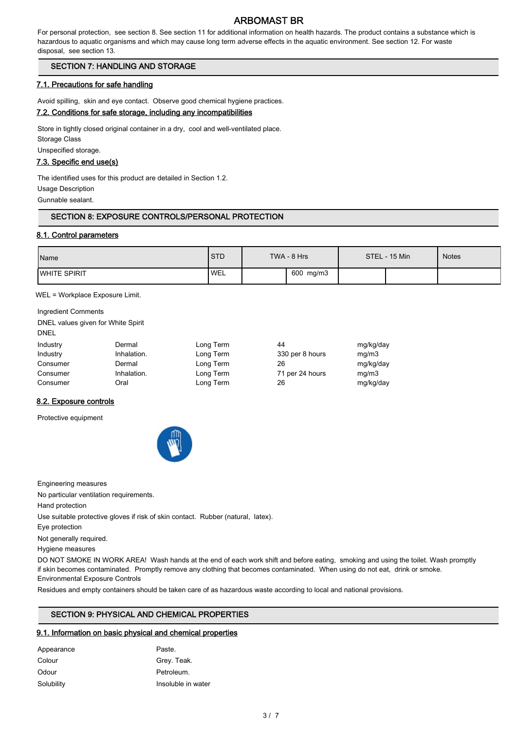For personal protection, see section 8. See section 11 for additional information on health hazards. The product contains a substance which is hazardous to aquatic organisms and which may cause long term adverse effects in the aquatic environment. See section 12. For waste disposal, see section 13.

# SECTION 7: HANDLING AND STORAGE

# 7.1. Precautions for safe handling

Avoid spilling, skin and eye contact. Observe good chemical hygiene practices.

# 7.2. Conditions for safe storage, including any incompatibilities

Store in tightly closed original container in a dry, cool and well-ventilated place. Storage Class Unspecified storage.

# 7.3. Specific end use(s)

The identified uses for this product are detailed in Section 1.2. Usage Description

Gunnable sealant.

# SECTION 8: EXPOSURE CONTROLS/PERSONAL PROTECTION

### 8.1. Control parameters

| Name                 | <b>STD</b> | TWA - 8 Hrs | STEL - 15 Min | <b>Notes</b> |
|----------------------|------------|-------------|---------------|--------------|
| <b>IWHITE SPIRIT</b> | <b>WEL</b> | 600 mg/m3   |               |              |

WEL = Workplace Exposure Limit.

Ingredient Comments DNEL values given for White Spirit DNEL

| Industry | Dermal      | Long Term | 44              | mg/kg/day |
|----------|-------------|-----------|-----------------|-----------|
| Industry | Inhalation. | Long Term | 330 per 8 hours | ma/m3     |
| Consumer | Dermal      | Long Term | 26              | mg/kg/day |
| Consumer | Inhalation. | Long Term | 71 per 24 hours | ma/m3     |
| Consumer | Oral        | Long Term | 26              | mg/kg/day |

# 8.2. Exposure controls

Protective equipment



Engineering measures

No particular ventilation requirements.

Hand protection

Use suitable protective gloves if risk of skin contact. Rubber (natural, latex).

Eye protection

Not generally required.

Hygiene measures

DO NOT SMOKE IN WORK AREA! Wash hands at the end of each work shift and before eating, smoking and using the toilet. Wash promptly if skin becomes contaminated. Promptly remove any clothing that becomes contaminated. When using do not eat, drink or smoke. Environmental Exposure Controls

Residues and empty containers should be taken care of as hazardous waste according to local and national provisions.

# SECTION 9: PHYSICAL AND CHEMICAL PROPERTIES

# 9.1. Information on basic physical and chemical properties

| Appearance | Paste.             |
|------------|--------------------|
| Colour     | Grey. Teak.        |
| Odour      | Petroleum.         |
| Solubility | Insoluble in water |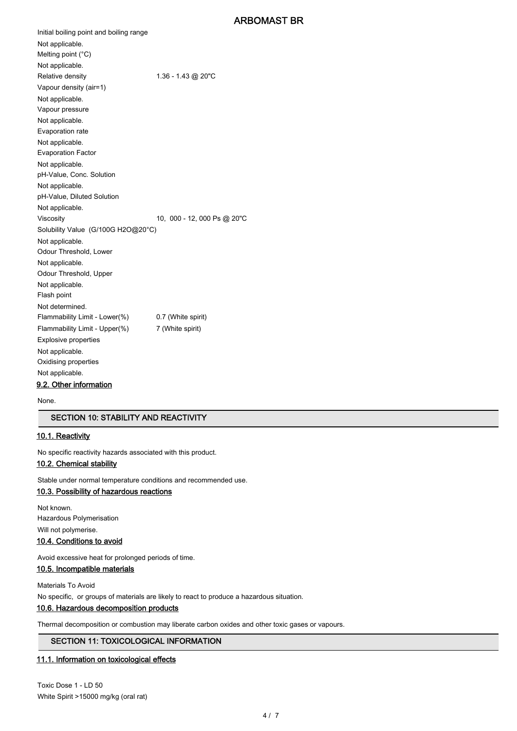Initial boiling point and boiling range Not applicable. Melting point (°C) Not applicable. Relative density 1.36 - 1.43 @ 20"C Vapour density (air=1) Not applicable. Vapour pressure Not applicable. Evaporation rate Not applicable. Evaporation Factor Not applicable. pH-Value, Conc. Solution Not applicable. pH-Value, Diluted Solution Not applicable. Viscosity 10, 000 - 12, 000 Ps @ 20"C Solubility Value (G/100G H2O@20°C) Not applicable. Odour Threshold, Lower Not applicable. Odour Threshold, Upper Not applicable. Flash point Not determined. Flammability Limit - Lower(%) 0.7 (White spirit) Flammability Limit - Upper(%) 7 (White spirit) Explosive properties Not applicable. Oxidising properties Not applicable. 9.2. Other information

None.

# SECTION 10: STABILITY AND REACTIVITY

# 10.1. Reactivity

No specific reactivity hazards associated with this product.

### 10.2. Chemical stability

Stable under normal temperature conditions and recommended use.

#### 10.3. Possibility of hazardous reactions

Not known. Hazardous Polymerisation Will not polymerise.

#### 10.4. Conditions to avoid

Avoid excessive heat for prolonged periods of time.

# 10.5. Incompatible materials

Materials To Avoid No specific, or groups of materials are likely to react to produce a hazardous situation.

# 10.6. Hazardous decomposition products

Thermal decomposition or combustion may liberate carbon oxides and other toxic gases or vapours.

#### SECTION 11: TOXICOLOGICAL INFORMATION

# 11.1. Information on toxicological effects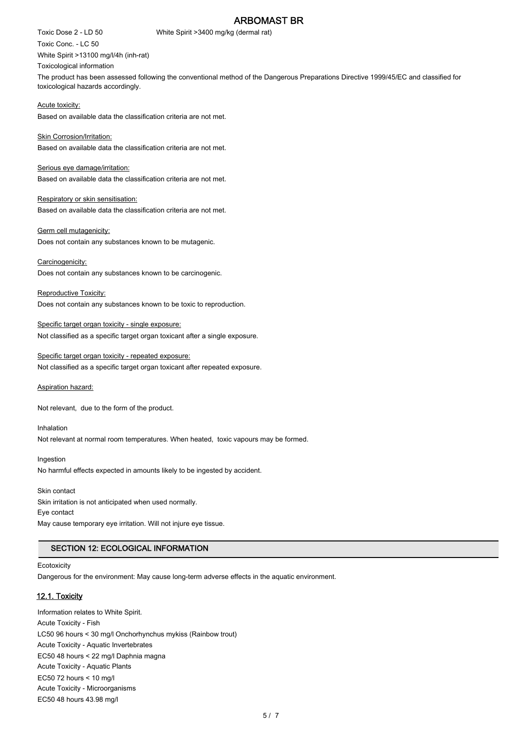Toxic Dose 2 - LD 50 White Spirit >3400 mg/kg (dermal rat) Toxic Conc. - LC 50 White Spirit >13100 mg/l/4h (inh-rat) Toxicological information The product has been assessed following the conventional method of the Dangerous Preparations Directive 1999/45/EC and classified for toxicological hazards accordingly.

Acute toxicity: Based on available data the classification criteria are not met.

Skin Corrosion/Irritation: Based on available data the classification criteria are not met.

Serious eye damage/irritation: Based on available data the classification criteria are not met.

Respiratory or skin sensitisation: Based on available data the classification criteria are not met.

Germ cell mutagenicity: Does not contain any substances known to be mutagenic.

Carcinogenicity: Does not contain any substances known to be carcinogenic.

Reproductive Toxicity: Does not contain any substances known to be toxic to reproduction.

Specific target organ toxicity - single exposure: Not classified as a specific target organ toxicant after a single exposure.

Specific target organ toxicity - repeated exposure: Not classified as a specific target organ toxicant after repeated exposure.

Aspiration hazard:

Not relevant, due to the form of the product.

Inhalation Not relevant at normal room temperatures. When heated, toxic vapours may be formed.

Ingestion No harmful effects expected in amounts likely to be ingested by accident.

Skin contact Skin irritation is not anticipated when used normally. Eye contact May cause temporary eye irritation. Will not injure eye tissue.

# SECTION 12: ECOLOGICAL INFORMATION

**Ecotoxicity** 

Dangerous for the environment: May cause long-term adverse effects in the aquatic environment.

# 12.1. Toxicity

Information relates to White Spirit. Acute Toxicity - Fish LC50 96 hours < 30 mg/l Onchorhynchus mykiss (Rainbow trout) Acute Toxicity - Aquatic Invertebrates EC50 48 hours < 22 mg/l Daphnia magna Acute Toxicity - Aquatic Plants EC50 72 hours < 10 mg/l Acute Toxicity - Microorganisms EC50 48 hours 43.98 mg/l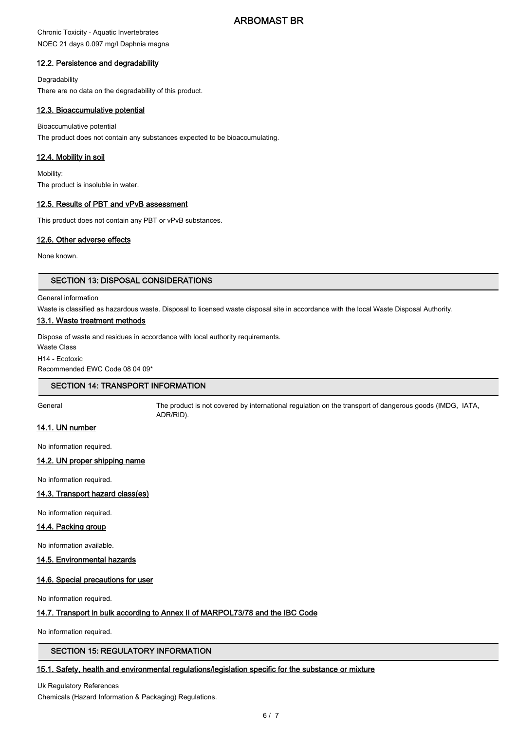# Chronic Toxicity - Aquatic Invertebrates NOEC 21 days 0.097 mg/l Daphnia magna

# 12.2. Persistence and degradability

**Degradability** There are no data on the degradability of this product.

# 12.3. Bioaccumulative potential

Bioaccumulative potential The product does not contain any substances expected to be bioaccumulating.

### 12.4. Mobility in soil

Mobility: The product is insoluble in water.

# 12.5. Results of PBT and vPvB assessment

This product does not contain any PBT or vPvB substances.

# 12.6. Other adverse effects

None known.

# SECTION 13: DISPOSAL CONSIDERATIONS

#### General information

Waste is classified as hazardous waste. Disposal to licensed waste disposal site in accordance with the local Waste Disposal Authority.

### 13.1. Waste treatment methods

Dispose of waste and residues in accordance with local authority requirements.

Waste Class

H14 - Ecotoxic

Recommended EWC Code 08 04 09\*

# SECTION 14: TRANSPORT INFORMATION

General The product is not covered by international regulation on the transport of dangerous goods (IMDG, IATA, ADR/RID).

# 14.1. UN number

No information required.

# 14.2. UN proper shipping name

No information required.

# 14.3. Transport hazard class(es)

No information required.

#### 14.4. Packing group

No information available.

# 14.5. Environmental hazards

# 14.6. Special precautions for user

No information required.

# 14.7. Transport in bulk according to Annex II of MARPOL73/78 and the IBC Code

No information required.

# SECTION 15: REGULATORY INFORMATION

# 15.1. Safety, health and environmental regulations/legislation specific for the substance or mixture

Uk Regulatory References Chemicals (Hazard Information & Packaging) Regulations.